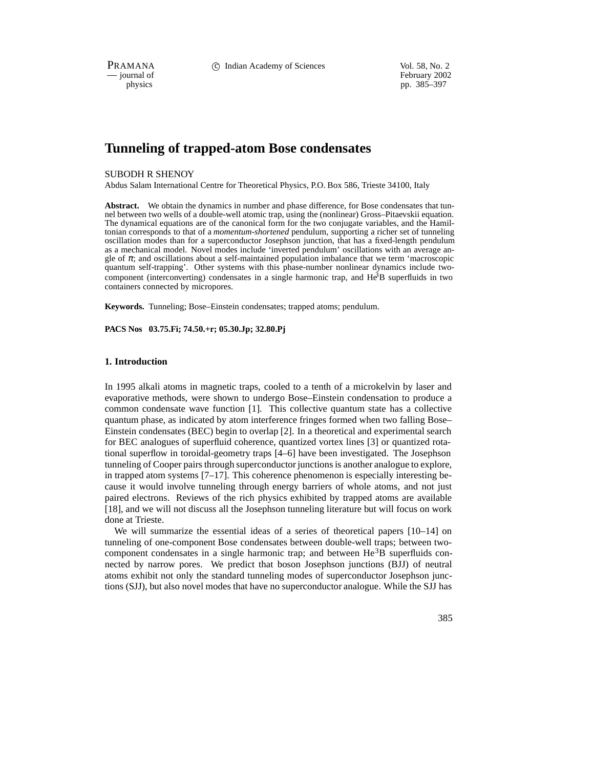PRAMANA c Indian Academy of Sciences Vol. 58, No. 2

physics<br>
physics<br>
pp. 385–397 pp. 385–397

# **Tunneling of trapped-atom Bose condensates**

## SUBODH R SHENOY

Abdus Salam International Centre for Theoretical Physics, P.O. Box 586, Trieste 34100, Italy

**Abstract.** We obtain the dynamics in number and phase difference, for Bose condensates that tunnel between two wells of a double-well atomic trap, using the (nonlinear) Gross–Pitaevskii equation. The dynamical equations are of the canonical form for the two conjugate variables, and the Hamiltonian corresponds to that of a *momentum-shortened* pendulum, supporting a richer set of tunneling oscillation modes than for a superconductor Josephson junction, that has a fixed-length pendulum as a mechanical model. Novel modes include 'inverted pendulum' oscillations with an average angle of  $\pi$ ; and oscillations about a self-maintained population imbalance that we term 'macroscopic quantum self-trapping'. Other systems with this phase-number nonlinear dynamics include twocomponent (interconverting) condensates in a single harmonic trap, and He<sup>3</sup>B superfluids in two containers connected by micropores.

**Keywords.** Tunneling; Bose–Einstein condensates; trapped atoms; pendulum.

**PACS Nos 03.75.Fi; 74.50.+r; 05.30.Jp; 32.80.Pj**

## **1. Introduction**

In 1995 alkali atoms in magnetic traps, cooled to a tenth of a microkelvin by laser and evaporative methods, were shown to undergo Bose–Einstein condensation to produce a common condensate wave function [1]. This collective quantum state has a collective quantum phase, as indicated by atom interference fringes formed when two falling Bose– Einstein condensates (BEC) begin to overlap [2]. In a theoretical and experimental search for BEC analogues of superfluid coherence, quantized vortex lines [3] or quantized rotational superflow in toroidal-geometry traps [4–6] have been investigated. The Josephson tunneling of Cooper pairs through superconductor junctions is another analogue to explore, in trapped atom systems [7–17]. This coherence phenomenon is especially interesting because it would involve tunneling through energy barriers of whole atoms, and not just paired electrons. Reviews of the rich physics exhibited by trapped atoms are available [18], and we will not discuss all the Josephson tunneling literature but will focus on work done at Trieste.

We will summarize the essential ideas of a series of theoretical papers [10–14] on tunneling of one-component Bose condensates between double-well traps; between twocomponent condensates in a single harmonic trap; and between  $He^{3}B$  superfluids connected by narrow pores. We predict that boson Josephson junctions (BJJ) of neutral atoms exhibit not only the standard tunneling modes of superconductor Josephson junctions (SJJ), but also novel modes that have no superconductor analogue. While the SJJ has

385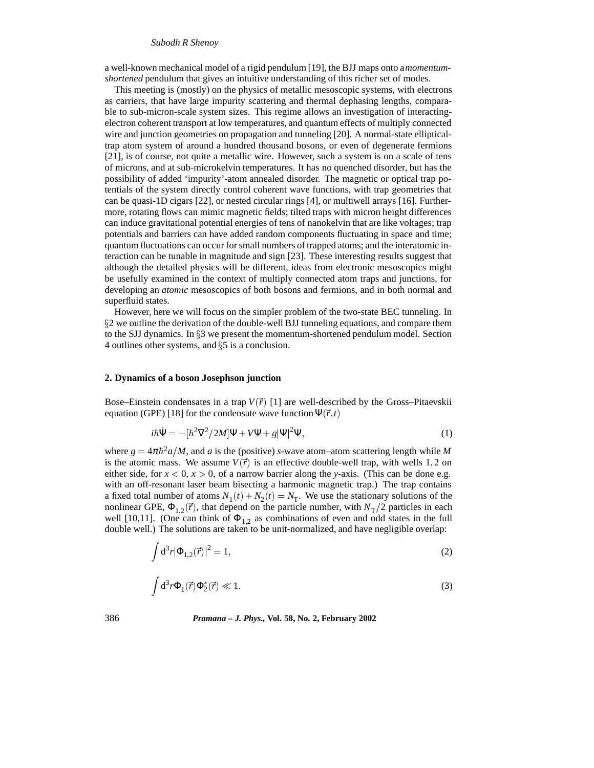#### *Subodh R Shenoy*

a well-known mechanical model of a rigid pendulum [19], the BJJ maps onto a*momentumshortened* pendulum that gives an intuitive understanding of this richer set of modes.

This meeting is (mostly) on the physics of metallic mesoscopic systems, with electrons as carriers, that have large impurity scattering and thermal dephasing lengths, comparable to sub-micron-scale system sizes. This regime allows an investigation of interactingelectron coherent transport at low temperatures, and quantum effects of multiply connected wire and junction geometries on propagation and tunneling [20]. A normal-state ellipticaltrap atom system of around a hundred thousand bosons, or even of degenerate fermions [21], is of course, not quite a metallic wire. However, such a system is on a scale of tens of microns, and at sub-microkelvin temperatures. It has no quenched disorder, but has the possibility of added 'impurity'-atom annealed disorder. The magnetic or optical trap potentials of the system directly control coherent wave functions, with trap geometries that can be quasi-1D cigars [22], or nested circular rings [4], or multiwell arrays [16]. Furthermore, rotating flows can mimic magnetic fields; tilted traps with micron height differences can induce gravitational potential energies of tens of nanokelvin that are like voltages; trap potentials and barriers can have added random components fluctuating in space and time; quantum fluctuations can occur for small numbers of trapped atoms; and the interatomic interaction can be tunable in magnitude and sign [23]. These interesting results suggest that although the detailed physics will be different, ideas from electronic mesoscopics might be usefully examined in the context of multiply connected atom traps and junctions, for developing an *atomic* mesoscopics of both bosons and fermions, and in both normal and superfluid states.

However, here we will focus on the simpler problem of the two-state BEC tunneling. In §2 we outline the derivation of the double-well BJJ tunneling equations, and compare them to the SJJ dynamics. In  $\S$ 3 we present the momentum-shortened pendulum model. Section 4 outlines other systems, and  $\S5$  is a conclusion.

#### **2. Dynamics of a boson Josephson junction**

Bose–Einstein condensates in a trap  $V(\vec{r})$  [1] are well-described by the Gross–Pitaevskii equation (GPE) [18] for the condensate wave function  $\Psi(\vec{r}, t)$ 

$$
i\hbar \dot{\Psi} = -[\hbar^2 \nabla^2 / 2M] \Psi + V \Psi + g |\Psi|^2 \Psi,
$$
\n(1)

where  $g = 4\pi\hbar^2 a/M$ , and a is the (positive) *s*-wave atom–atom scattering length while M is the atomic mass. We assume  $V(\vec{r})$  is an effective double-well trap, with wells 1,2 on either side, for  $x < 0$ ,  $x > 0$ , of a narrow barrier along the *y*-axis. (This can be done e.g. with an off-resonant laser beam bisecting a harmonic magnetic trap.) The trap contains a fixed total number of atoms  $N_1(t) + N_2(t) = N_T$ . We use the stationary solutions of the nonlinear GPE,  $\Phi_{1,2}(\vec{r})$ , that depend on the particle number, with  $N_T/2$  particles in each well [10,11]. (One can think of  $\Phi_{1,2}$  as combinations of even and odd states in the full double well.) The solutions are taken to be unit-normalized, and have negligible overlap:

$$
\int d^3r |\Phi_{1,2}(\vec{r})|^2 = 1,
$$
\n(2)

$$
\int d^3r \Phi_1(\vec{r}) \Phi_2^*(\vec{r}) \ll 1. \tag{3}
$$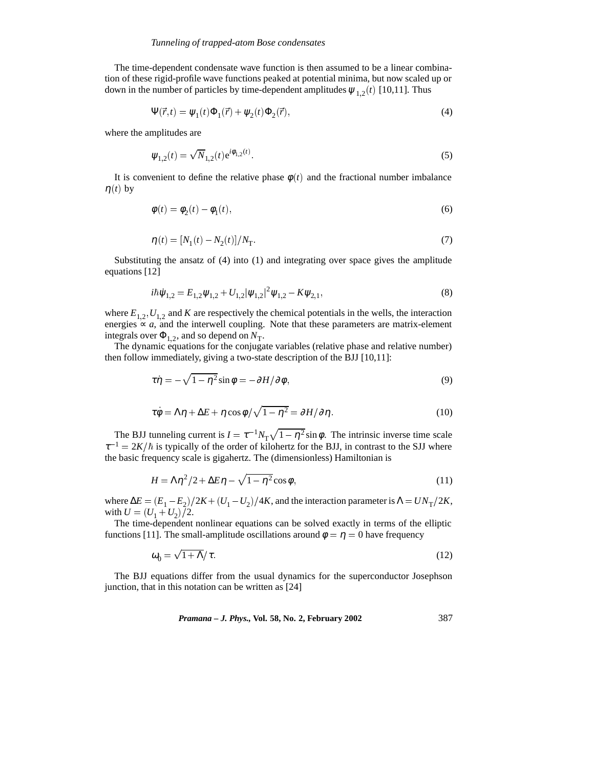The time-dependent condensate wave function is then assumed to be a linear combination of these rigid-profile wave functions peaked at potential minima, but now scaled up or down in the number of particles by time-dependent amplitudes  $\psi_{1,2}(t)$  [10,11]. Thus

$$
\Psi(\vec{r},t) = \psi_1(t)\Phi_1(\vec{r}) + \psi_2(t)\Phi_2(\vec{r}),\tag{4}
$$

where the amplitudes are

$$
\psi_{1,2}(t) = \sqrt{N}_{1,2}(t)e^{i\phi_{1,2}(t)}.\tag{5}
$$

It is convenient to define the relative phase  $\phi(t)$  and the fractional number imbalance  $\eta(t)$  by

$$
\phi(t) = \phi_2(t) - \phi_1(t),\tag{6}
$$

$$
\eta(t) = [N_1(t) - N_2(t)]/N_T.
$$
\n(7)

Substituting the ansatz of (4) into (1) and integrating over space gives the amplitude equations [12]

$$
i\hbar\dot{\psi}_{1,2} = E_{1,2}\psi_{1,2} + U_{1,2}|\psi_{1,2}|^2\psi_{1,2} - K\psi_{2,1},
$$
\n(8)

where  $E_{1,2}$ ,  $U_{1,2}$  and *K* are respectively the chemical potentials in the wells, the interaction energies  $\propto a$ , and the interwell coupling. Note that these parameters are matrix-element integrals over  $\Phi_{1,2}$ , and so depend on  $N_T$ .

The dynamic equations for the conjugate variables (relative phase and relative number) then follow immediately, giving a two-state description of the BJJ [10,11]:

$$
\tau \eta = -\sqrt{1 - \eta^2} \sin \phi = -\partial H / \partial \phi, \qquad (9)
$$

$$
\tau \dot{\phi} = \Lambda \eta + \Delta E + \eta \cos \phi / \sqrt{1 - \eta^2} = \partial H / \partial \eta.
$$
 (10)

The BJJ tunneling current is  $I = \tau^{-1} N_{\text{T}} \sqrt{1 - \eta^2} \sin \phi$ . The intrinsic inverse time scale  $\tau^{-1} = 2K/\hbar$  is typically of the order of kilohertz for the BJJ, in contrast to the SJJ where the basic frequency scale is gigahertz. The (dimensionless) Hamiltonian is

$$
H = \Lambda \eta^2 / 2 + \Delta E \eta - \sqrt{1 - \eta^2} \cos \phi, \tag{11}
$$

where  $\Delta E = (E_1 - E_2)/2K + (U_1 - U_2)/4K$ , and the interaction parameter is  $\Delta = UN_T/2K$ , with  $U = (U_1 + U_2)$  /2.

The time-dependent nonlinear equations can be solved exactly in terms of the elliptic functions [11]. The small-amplitude oscillations around  $\phi = \eta = 0$  have frequency

$$
\omega_0 = \sqrt{1 + \Lambda}/\tau. \tag{12}
$$

The BJJ equations differ from the usual dynamics for the superconductor Josephson junction, that in this notation can be written as [24]

*Pramana – J. Phys.,* **Vol. 58, No. 2, February 2002** 387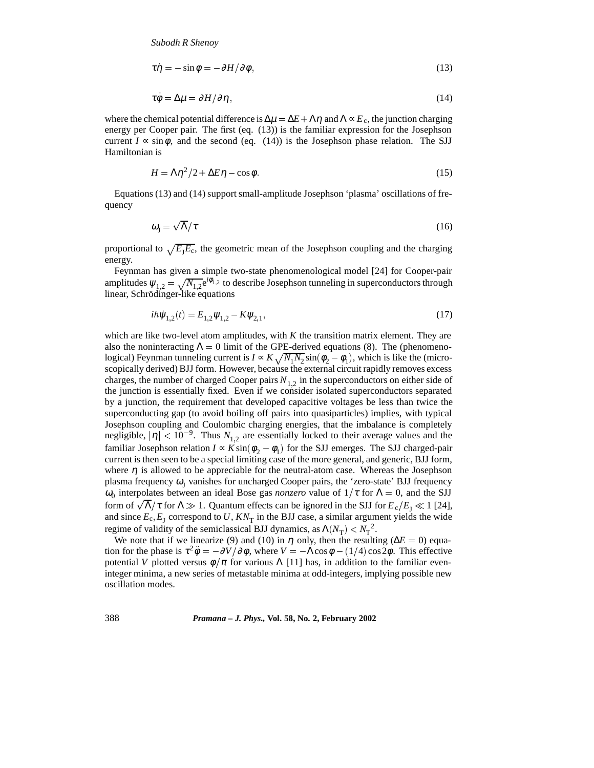$$
\tau \dot{\eta} = -\sin \phi = -\partial H / \partial \phi, \qquad (13)
$$

$$
\tau \dot{\phi} = \Delta \mu = \partial H / \partial \eta, \qquad (14)
$$

where the chemical potential difference is  $\Delta \mu = \Delta E + \Lambda \eta$  and  $\Lambda \propto E_c$ , the junction charging energy per Cooper pair. The first (eq. (13)) is the familiar expression for the Josephson current  $I \propto \sin \phi$ , and the second (eq. (14)) is the Josephson phase relation. The SJJ Hamiltonian is

$$
H = \Lambda \eta^2 / 2 + \Delta E \eta - \cos \phi. \tag{15}
$$

Equations (13) and (14) support small-amplitude Josephson 'plasma' oscillations of frequency

$$
\omega_{\rm J} = \sqrt{\Lambda}/\tau \tag{16}
$$

proportional to  $\sqrt{E_JE_c}$ , the geometric mean of the Josephson coupling and the charging energy.

Feynman has given a simple two-state phenomenological model [24] for Cooper-pair amplitudes  $\psi_{1,2} = \sqrt{N_{1,2}}e^{i\phi_{1,2}}$  to describe Josephson tunneling in superconductors through linear, Schrödinger-like equations

$$
i\hbar\psi_{1,2}(t) = E_{1,2}\psi_{1,2} - K\psi_{2,1},\tag{17}
$$

which are like two-level atom amplitudes, with *K* the transition matrix element. They are also the noninteracting  $\Lambda = 0$  limit of the GPE-derived equations (8). The (phenomenological) Feynman tunneling current is  $I \propto K \sqrt{N_1 N_2} \sin(\phi_2 - \phi_1)$ , which is like the (microscopically derived) BJJ form. However, because the external circuit rapidly removes excess charges, the number of charged Cooper pairs  $N_{1,2}$  in the superconductors on either side of the junction is essentially fixed. Even if we consider isolated superconductors separated by a junction, the requirement that developed capacitive voltages be less than twice the superconducting gap (to avoid boiling off pairs into quasiparticles) implies, with typical Josephson coupling and Coulombic charging energies, that the imbalance is completely negligible,  $|\eta| < 10^{-9}$ . Thus  $N_{1,2}$  are essentially locked to their average values and the familiar Josephson relation  $I \propto K \sin(\phi_2 - \phi_1)$  for the SJJ emerges. The SJJ charged-pair current is then seen to be a special limiting case of the more general, and generic, BJJ form, where  $\eta$  is allowed to be appreciable for the neutral-atom case. Whereas the Josephson plasma frequency  $\omega_I$  vanishes for uncharged Cooper pairs, the 'zero-state' BJJ frequency  $\omega_0$  interpolates between an ideal Bose gas *nonzero* value of  $1/\tau$  for  $\Lambda = 0$ , and the SJJ form of  $\sqrt{\Lambda}/\tau$  for  $\Lambda \gg 1$ . Quantum effects can be ignored in the SJJ for  $E_c/E_J \ll 1$  [24], and since  $E_c$ ,  $E_I$  correspond to U,  $KN_T$  in the BJJ case, a similar argument yields the wide regime of validity of the semiclassical BJJ dynamics, as  $\Lambda(N_T) < N_T^2$ .

We note that if we linearize (9) and (10) in  $\eta$  only, then the resulting ( $\Delta E = 0$ ) equation for the phase is  $\tau^2 \ddot{\phi} = -\partial V / \partial \phi$ , where  $V = -\Lambda \cos \phi - (1/4) \cos 2\phi$ . This effective potential *V* plotted versus  $\phi/\pi$  for various  $\Lambda$  [11] has, in addition to the familiar eveninteger minima, a new series of metastable minima at odd-integers, implying possible new oscillation modes.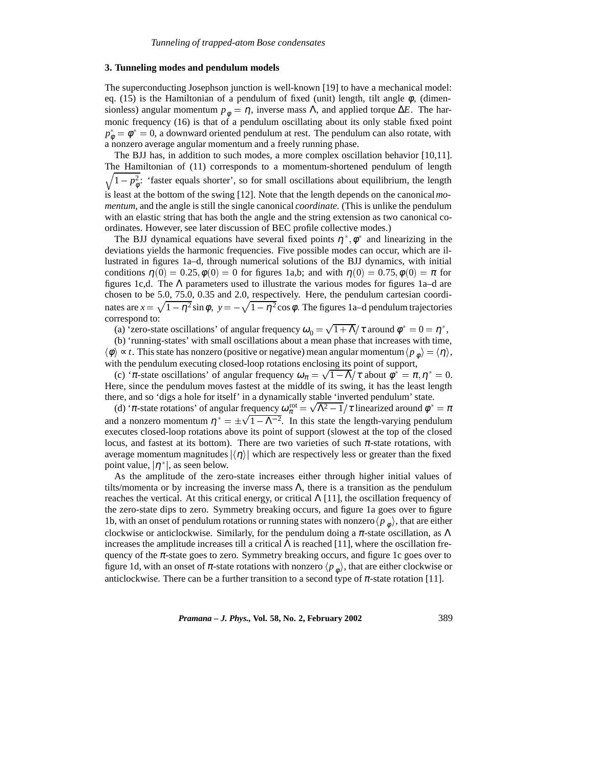#### **3. Tunneling modes and pendulum models**

The superconducting Josephson junction is well-known [19] to have a mechanical model: eq. (15) is the Hamiltonian of a pendulum of fixed (unit) length, tilt angle  $\phi$ , (dimensionless) angular momentum  $p_{\phi} = \eta$ , inverse mass Λ, and applied torque Δ*E*. The harmonic frequency (16) is that of a pendulum oscillating about its only stable fixed point  $p_{\phi}^* = \phi^* = 0$ , a downward oriented pendulum at rest. The pendulum can also rotate, with a nonzero average angular momentum and a freely running phase.

The BJJ has, in addition to such modes, a more complex oscillation behavior [10,11].  $\overline{\phantom{a}}$ The Hamiltonian of (11) corresponds to a momentum-shortened pendulum of length  $1 - p_{\phi}^2$ : 'faster equals shorter', so for small oscillations about equilibrium, the length is least at the bottom of the swing [12]. Note that the length depends on the canonical*momentum*, and the angle is still the single canonical *coordinate*. (This is unlike the pendulum with an elastic string that has both the angle and the string extension as two canonical coordinates. However, see later discussion of BEC profile collective modes.)

The BJJ dynamical equations have several fixed points  $\eta^*, \phi^*$  and linearizing in the deviations yields the harmonic frequencies. Five possible modes can occur, which are illustrated in figures 1a–d, through numerical solutions of the BJJ dynamics, with initial conditions  $\eta(0) = 0.25, \phi(0) = 0$  for figures 1a,b; and with  $\eta(0) = 0.75, \phi(0) = \pi$  for figures 1c,d. The  $\Lambda$  parameters used to illustrate the various modes for figures 1a–d are chosen to be 5.0, 75.0, 0.35 and 2.0, respectively. Here, the pendulum cartesian coordinates are  $x = \sqrt{1 - \eta^2} \sin \phi$ ,  $y = -\sqrt{1 - \eta^2} \cos \phi$ . The figures 1a–d pendulum trajectories correspond to:

(a) 'zero-state oscillations' of angular frequency  $\omega_0 = \sqrt{1 + \Lambda}/\tau$  around  $\phi^* = 0 = \eta^*$ ,

(b) 'running-states' with small oscillations about a mean phase that increases with time,  $\langle \phi \rangle \propto t$ . This state has nonzero (positive or negative) mean angular momentum  $\langle p_{\phi} \rangle = \langle \eta \rangle$ , with the pendulum executing closed-loop rotations enclosing its point of support,

(c) ' $\pi$ -state oscillations' of angular frequency  $\omega_{\pi} = \sqrt{1 - \Lambda}/\tau$  about  $\phi^* = \pi, \eta^* = 0$ . Here, since the pendulum moves fastest at the middle of its swing, it has the least length there, and so 'digs a hole for itself' in a dynamically stable 'inverted pendulum' state.

(d) ' $\pi$ -state rotations' of angular frequency  $\omega_{\pi}^{\text{rot}} = \sqrt{\Lambda^2 - 1}/\tau$  linearized around  $\phi^* = \pi$ and a nonzero momentum  $\eta^* = \pm \sqrt{1 - \Lambda^{-2}}$ . In this state the length-varying pendulum executes closed-loop rotations above its point of support (slowest at the top of the closed locus, and fastest at its bottom). There are two varieties of such  $\pi$ -state rotations, with average momentum magnitudes  $\langle \eta \rangle$  which are respectively less or greater than the fixed point value,  $|\eta^*|$ , as seen below.

As the amplitude of the zero-state increases either through higher initial values of tilts/momenta or by increasing the inverse mass  $\Lambda$ , there is a transition as the pendulum reaches the vertical. At this critical energy, or critical  $\Lambda$  [11], the oscillation frequency of the zero-state dips to zero. Symmetry breaking occurs, and figure 1a goes over to figure 1b, with an onset of pendulum rotations or running states with nonzero  $\langle p_{\phi} \rangle$ , that are either clockwise or anticlockwise. Similarly, for the pendulum doing a  $\pi$ -state oscillation, as  $\Lambda$ increases the amplitude increases till a critical  $\Lambda$  is reached [11], where the oscillation frequency of the  $\pi$ -state goes to zero. Symmetry breaking occurs, and figure 1c goes over to figure 1d, with an onset of  $\pi$ -state rotations with nonzero  $\langle p_{\phi} \rangle$ , that are either clockwise or anticlockwise. There can be a further transition to a second type of  $\pi$ -state rotation [11].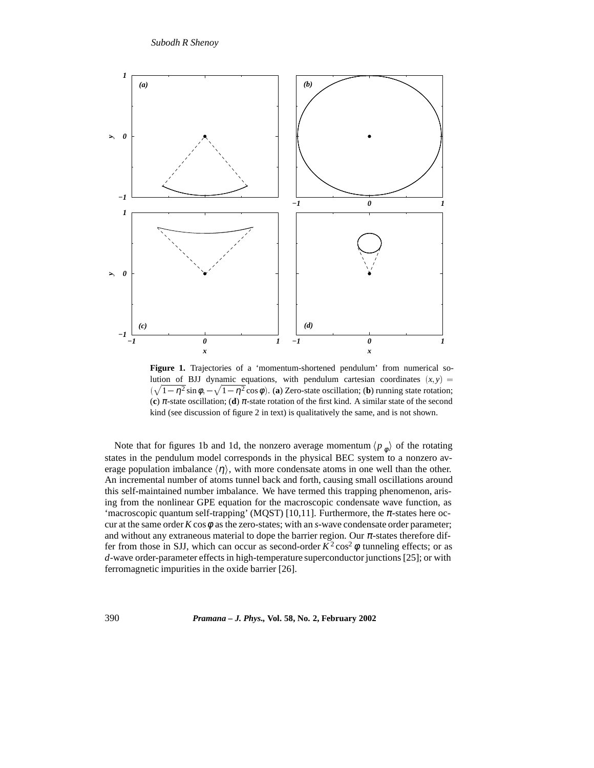

Figure 1. Trajectories of a 'momentum-shortened pendulum' from numerical solution of BJJ dynamic equations, with pendulum cartesian coordinates  $(x, y)$  =  $(\sqrt{1-\eta^2} \sin \phi, -\sqrt{1-\eta^2} \cos \phi)$ . (**a**) Zero-state oscillation; (**b**) running state rotation; (c)  $\pi$ -state oscillation; (d)  $\pi$ -state rotation of the first kind. A similar state of the second kind (see discussion of figure 2 in text) is qualitatively the same, and is not shown.

Note that for figures 1b and 1d, the nonzero average momentum  $\langle p_{\phi} \rangle$  of the rotating states in the pendulum model corresponds in the physical BEC system to a nonzero average population imbalance  $\langle \eta \rangle$ , with more condensate atoms in one well than the other. An incremental number of atoms tunnel back and forth, causing small oscillations around this self-maintained number imbalance. We have termed this trapping phenomenon, arising from the nonlinear GPE equation for the macroscopic condensate wave function, as 'macroscopic quantum self-trapping' (MQST) [10,11]. Furthermore, the  $\pi$ -states here occur at the same order  $K \cos \phi$  as the zero-states; with an *s*-wave condensate order parameter; and without any extraneous material to dope the barrier region. Our  $\pi$ -states therefore differ from those in SJJ, which can occur as second-order  $K^2 \cos^2 \phi$  tunneling effects; or as *d*-wave order-parameter effects in high-temperature superconductor junctions [25]; or with ferromagnetic impurities in the oxide barrier [26].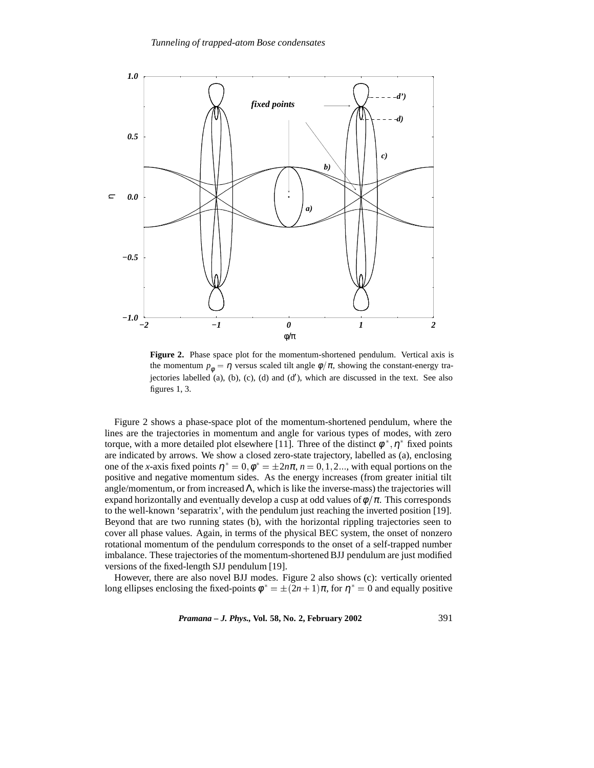

**Figure 2.** Phase space plot for the momentum-shortened pendulum. Vertical axis is the momentum  $p_{\phi} = \eta$  versus scaled tilt angle  $\phi/\pi$ , showing the constant-energy trajectories labelled  $(a)$ ,  $(b)$ ,  $(c)$ ,  $(d)$  and  $(d')$ , which are discussed in the text. See also figures 1, 3.

Figure 2 shows a phase-space plot of the momentum-shortened pendulum, where the lines are the trajectories in momentum and angle for various types of modes, with zero torque, with a more detailed plot elsewhere [11]. Three of the distinct  $\phi^*$ ,  $\eta^*$  fixed points are indicated by arrows. We show a closed zero-state trajectory, labelled as (a), enclosing one of the *x*-axis fixed points  $\eta^* = 0, \phi^* = \pm 2n\pi, n = 0, 1, 2...$ , with equal portions on the positive and negative momentum sides. As the energy increases (from greater initial tilt angle/momentum, or from increased  $\Lambda$ , which is like the inverse-mass) the trajectories will expand horizontally and eventually develop a cusp at odd values of  $\phi/\pi$ . This corresponds to the well-known 'separatrix', with the pendulum just reaching the inverted position [19]. Beyond that are two running states (b), with the horizontal rippling trajectories seen to cover all phase values. Again, in terms of the physical BEC system, the onset of nonzero rotational momentum of the pendulum corresponds to the onset of a self-trapped number imbalance. These trajectories of the momentum-shortened BJJ pendulum are just modified versions of the fixed-length SJJ pendulum [19].

However, there are also novel BJJ modes. Figure 2 also shows (c): vertically oriented long ellipses enclosing the fixed-points  $\phi^* = \pm (2n + 1)\pi$ , for  $\eta^* = 0$  and equally positive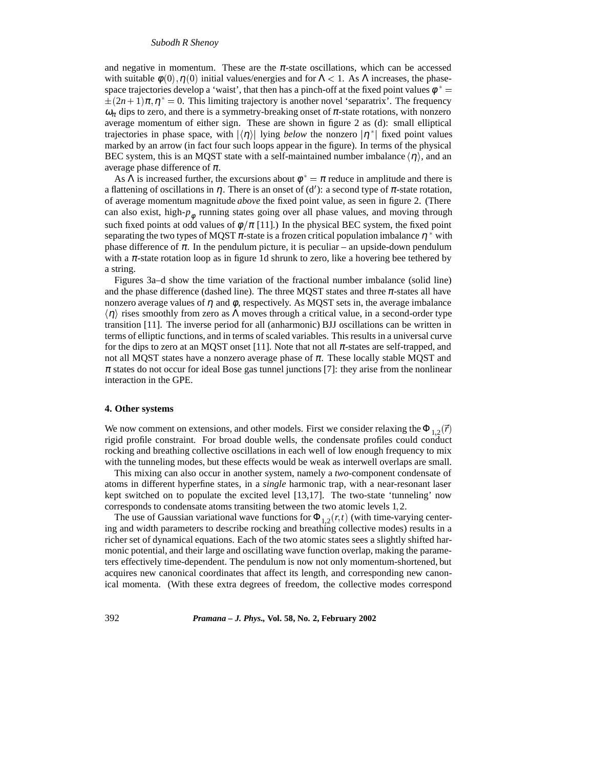#### *Subodh R Shenoy*

and negative in momentum. These are the  $\pi$ -state oscillations, which can be accessed with suitable  $\phi(0), \eta(0)$  initial values/energies and for  $\Lambda < 1$ . As  $\Lambda$  increases, the phasespace trajectories develop a 'waist', that then has a pinch-off at the fixed point values  $\phi^*$  =  $\pm (2n+1)\pi$ ,  $\eta^* = 0$ . This limiting trajectory is another novel 'separatrix'. The frequency  $\omega_{\pi}$  dips to zero, and there is a symmetry-breaking onset of  $\pi$ -state rotations, with nonzero average momentum of either sign. These are shown in figure 2 as (d): small elliptical trajectories in phase space, with  $|\langle \eta \rangle|$  lying *below* the nonzero  $|\eta^*|$  fixed point values marked by an arrow (in fact four such loops appear in the figure). In terms of the physical BEC system, this is an MQST state with a self-maintained number imbalance  $\langle \eta \rangle$ , and an average phase difference of  $\pi$ .

As  $\Lambda$  is increased further, the excursions about  $\phi^* = \pi$  reduce in amplitude and there is a flattening of oscillations in  $\eta$ . There is an onset of (d'): a second type of  $\pi$ -state rotation, of average momentum magnitude *above* the fixed point value, as seen in figure 2. (There can also exist, high- $p_{\phi}$  running states going over all phase values, and moving through such fixed points at odd values of  $\phi/\pi$  [11].) In the physical BEC system, the fixed point separating the two types of MQST  $\pi$ -state is a frozen critical population imbalance  $\eta^*$  with phase difference of  $\pi$ . In the pendulum picture, it is peculiar – an upside-down pendulum with a  $\pi$ -state rotation loop as in figure 1d shrunk to zero, like a hovering bee tethered by a string.

Figures 3a–d show the time variation of the fractional number imbalance (solid line) and the phase difference (dashed line). The three MQST states and three  $\pi$ -states all have nonzero average values of  $\eta$  and  $\phi$ , respectively. As MQST sets in, the average imbalance  $\langle \eta \rangle$  rises smoothly from zero as  $\Lambda$  moves through a critical value, in a second-order type transition [11]. The inverse period for all (anharmonic) BJJ oscillations can be written in terms of elliptic functions, and in terms of scaled variables. This results in a universal curve for the dips to zero at an MQST onset [11]. Note that not all  $\pi$ -states are self-trapped, and not all MQST states have a nonzero average phase of  $\pi$ . These locally stable MQST and  $\pi$  states do not occur for ideal Bose gas tunnel junctions [7]: they arise from the nonlinear interaction in the GPE.

#### **4. Other systems**

We now comment on extensions, and other models. First we consider relaxing the  $\Phi_{1,2}(\vec{r})$ rigid profile constraint. For broad double wells, the condensate profiles could conduct rocking and breathing collective oscillations in each well of low enough frequency to mix with the tunneling modes, but these effects would be weak as interwell overlaps are small.

This mixing can also occur in another system, namely a *two*-component condensate of atoms in different hyperfine states, in a *single* harmonic trap, with a near-resonant laser kept switched on to populate the excited level [13,17]. The two-state 'tunneling' now corresponds to condensate atoms transiting between the two atomic levels 1,2.

The use of Gaussian variational wave functions for  $\Phi_{1,2}(r,t)$  (with time-varying centering and width parameters to describe rocking and breathing collective modes) results in a richer set of dynamical equations. Each of the two atomic states sees a slightly shifted harmonic potential, and their large and oscillating wave function overlap, making the parameters effectively time-dependent. The pendulum is now not only momentum-shortened, but acquires new canonical coordinates that affect its length, and corresponding new canonical momenta. (With these extra degrees of freedom, the collective modes correspond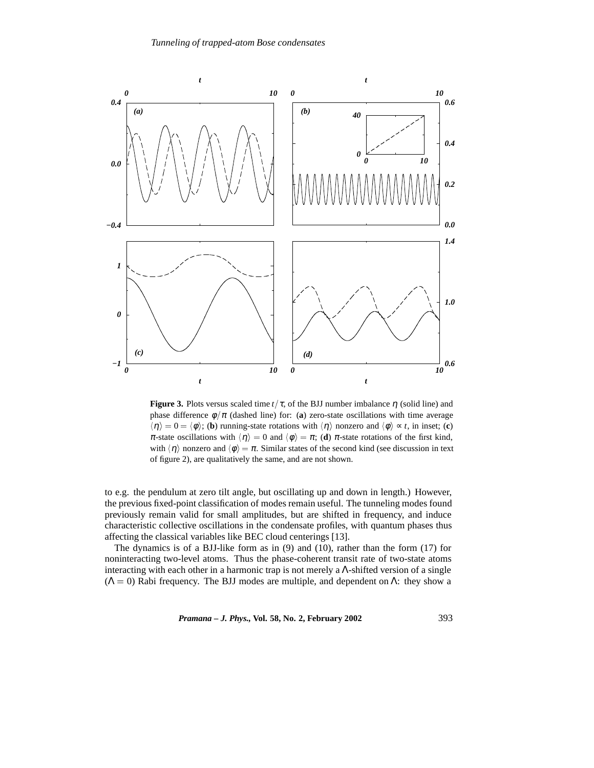

**Figure 3.** Plots versus scaled time  $t/\tau$ , of the BJJ number imbalance  $\eta$  (solid line) and phase difference  $\phi/\pi$  (dashed line) for: (a) zero-state oscillations with time average  $\langle \eta \rangle = 0 = \langle \phi \rangle$ ; (**b**) running-state rotations with  $\langle \eta \rangle$  nonzero and  $\langle \phi \rangle \sim t$ , in inset; (**c**) π-state oscillations with  $\langle \eta \rangle = 0$  and  $\langle \phi \rangle = \pi$ ; (**d**) π-state rotations of the first kind, with  $\langle \eta \rangle$  nonzero and  $\langle \phi \rangle = \pi$ . Similar states of the second kind (see discussion in text of figure 2), are qualitatively the same, and are not shown.

to e.g. the pendulum at zero tilt angle, but oscillating up and down in length.) However, the previous fixed-point classification of modes remain useful. The tunneling modes found previously remain valid for small amplitudes, but are shifted in frequency, and induce characteristic collective oscillations in the condensate profiles, with quantum phases thus affecting the classical variables like BEC cloud centerings [13].

The dynamics is of a BJJ-like form as in (9) and (10), rather than the form (17) for noninteracting two-level atoms. Thus the phase-coherent transit rate of two-state atoms interacting with each other in a harmonic trap is not merely a  $\Lambda$ -shifted version of a single  $(Λ = 0)$  Rabi frequency. The BJJ modes are multiple, and dependent on Λ: they show a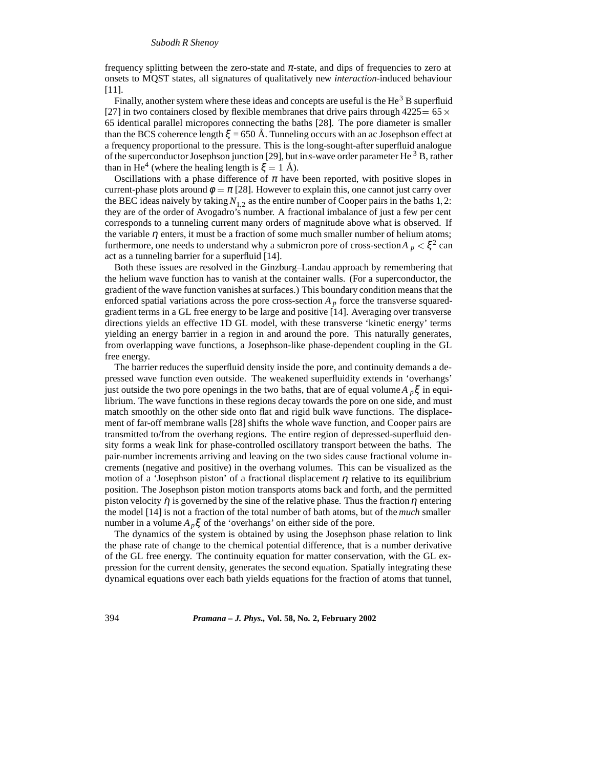frequency splitting between the zero-state and  $\pi$ -state, and dips of frequencies to zero at onsets to MQST states, all signatures of qualitatively new *interaction*-induced behaviour [11].

Finally, another system where these ideas and concepts are useful is the  $\text{He}^3$  B superfluid [27] in two containers closed by flexible membranes that drive pairs through  $4225 = 65 \times$ 65 identical parallel micropores connecting the baths [28]. The pore diameter is smaller than the BCS coherence length  $\xi = 650 \text{ Å}$ . Tunneling occurs with an ac Josephson effect at a frequency proportional to the pressure. This is the long-sought-after superfluid analogue of the superconductor Josephson junction [29], but in*s*-wave order parameter He <sup>3</sup> B, rather than in He<sup>4</sup> (where the healing length is  $\xi = 1$  Å).

Oscillations with a phase difference of  $\pi$  have been reported, with positive slopes in current-phase plots around  $\phi = \pi$  [28]. However to explain this, one cannot just carry over the BEC ideas naively by taking  $N_{1,2}$  as the entire number of Cooper pairs in the baths 1,2: they are of the order of Avogadro's number. A fractional imbalance of just a few per cent corresponds to a tunneling current many orders of magnitude above what is observed. If the variable  $\eta$  enters, it must be a fraction of some much smaller number of helium atoms; furthermore, one needs to understand why a submicron pore of cross-section $A_p < \xi^2$  can act as a tunneling barrier for a superfluid [14].

Both these issues are resolved in the Ginzburg–Landau approach by remembering that the helium wave function has to vanish at the container walls. (For a superconductor, the gradient of the wave function vanishes at surfaces.) This boundary condition means that the enforced spatial variations across the pore cross-section  $A_p$  force the transverse squaredgradient terms in a GL free energy to be large and positive [14]. Averaging over transverse directions yields an effective 1D GL model, with these transverse 'kinetic energy' terms yielding an energy barrier in a region in and around the pore. This naturally generates, from overlapping wave functions, a Josephson-like phase-dependent coupling in the GL free energy.

The barrier reduces the superfluid density inside the pore, and continuity demands a depressed wave function even outside. The weakened superfluidity extends in 'overhangs' just outside the two pore openings in the two baths, that are of equal volume *A <sup>p</sup>*ξ in equilibrium. The wave functions in these regions decay towards the pore on one side, and must match smoothly on the other side onto flat and rigid bulk wave functions. The displacement of far-off membrane walls [28] shifts the whole wave function, and Cooper pairs are transmitted to/from the overhang regions. The entire region of depressed-superfluid density forms a weak link for phase-controlled oscillatory transport between the baths. The pair-number increments arriving and leaving on the two sides cause fractional volume increments (negative and positive) in the overhang volumes. This can be visualized as the motion of a 'Josephson piston' of a fractional displacement  $\eta$  relative to its equilibrium position. The Josephson piston motion transports atoms back and forth, and the permitted piston velocity  $\dot{\eta}$  is governed by the sine of the relative phase. Thus the fraction  $\eta$  entering the model [14] is not a fraction of the total number of bath atoms, but of the *much* smaller number in a volume  $A_p \xi$  of the 'overhangs' on either side of the pore.

The dynamics of the system is obtained by using the Josephson phase relation to link the phase rate of change to the chemical potential difference, that is a number derivative of the GL free energy. The continuity equation for matter conservation, with the GL expression for the current density, generates the second equation. Spatially integrating these dynamical equations over each bath yields equations for the fraction of atoms that tunnel,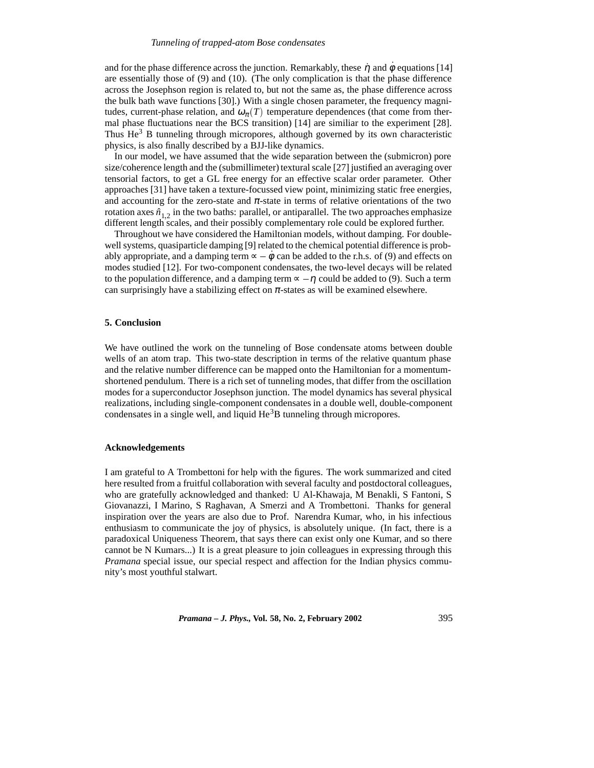#### *Tunneling of trapped-atom Bose condensates*

and for the phase difference across the junction. Remarkably, these  $\eta$  and  $\dot{\phi}$  equations [14] are essentially those of (9) and (10). (The only complication is that the phase difference across the Josephson region is related to, but not the same as, the phase difference across the bulk bath wave functions [30].) With a single chosen parameter, the frequency magnitudes, current-phase relation, and  $\omega_{\pi}(T)$  temperature dependences (that come from thermal phase fluctuations near the BCS transition) [14] are similiar to the experiment [28]. Thus  $He<sup>3</sup>$  B tunneling through micropores, although governed by its own characteristic physics, is also finally described by a BJJ-like dynamics.

In our model, we have assumed that the wide separation between the (submicron) pore size/coherence length and the (submillimeter) textural scale [27] justified an averaging over tensorial factors, to get a GL free energy for an effective scalar order parameter. Other approaches [31] have taken a texture-focussed view point, minimizing static free energies, and accounting for the zero-state and  $\pi$ -state in terms of relative orientations of the two rotation axes  $\hat{n}_{1,2}$  in the two baths: parallel, or antiparallel. The two approaches emphasize different length scales, and their possibly complementary role could be explored further.

Throughout we have considered the Hamiltonian models, without damping. For doublewell systems, quasiparticle damping [9] related to the chemical potential difference is probably appropriate, and a damping term  $\sim -\dot{\phi}$  can be added to the r.h.s. of (9) and effects on modes studied [12]. For two-component condensates, the two-level decays will be related to the population difference, and a damping term  $\infty - \eta$  could be added to (9). Such a term can surprisingly have a stabilizing effect on  $\pi$ -states as will be examined elsewhere.

## **5. Conclusion**

We have outlined the work on the tunneling of Bose condensate atoms between double wells of an atom trap. This two-state description in terms of the relative quantum phase and the relative number difference can be mapped onto the Hamiltonian for a momentumshortened pendulum. There is a rich set of tunneling modes, that differ from the oscillation modes for a superconductor Josephson junction. The model dynamics has several physical realizations, including single-component condensates in a double well, double-component condensates in a single well, and liquid  $He<sup>3</sup>B$  tunneling through micropores.

# **Acknowledgements**

I am grateful to A Trombettoni for help with the figures. The work summarized and cited here resulted from a fruitful collaboration with several faculty and postdoctoral colleagues, who are gratefully acknowledged and thanked: U Al-Khawaja, M Benakli, S Fantoni, S Giovanazzi, I Marino, S Raghavan, A Smerzi and A Trombettoni. Thanks for general inspiration over the years are also due to Prof. Narendra Kumar, who, in his infectious enthusiasm to communicate the joy of physics, is absolutely unique. (In fact, there is a paradoxical Uniqueness Theorem, that says there can exist only one Kumar, and so there cannot be N Kumars...) It is a great pleasure to join colleagues in expressing through this *Pramana* special issue, our special respect and affection for the Indian physics community's most youthful stalwart.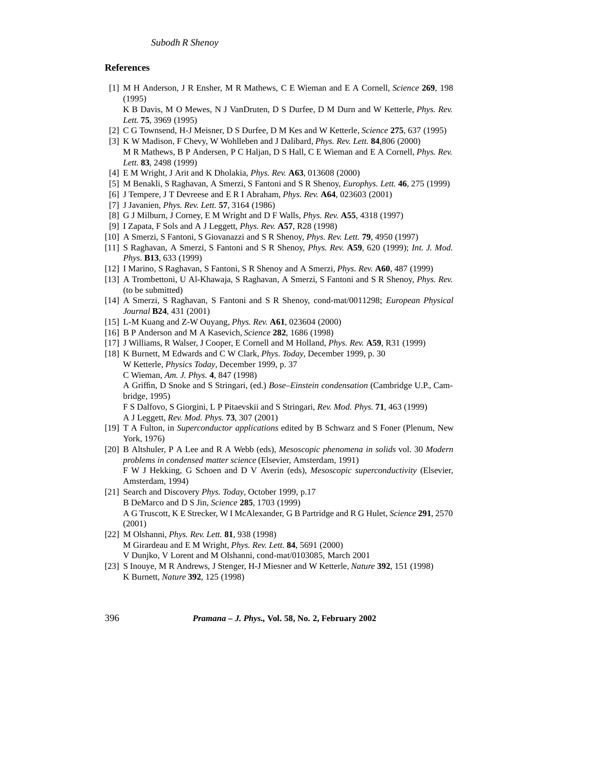## **References**

[1] M H Anderson, J R Ensher, M R Mathews, C E Wieman and E A Cornell, *Science* **269**, 198 (1995)

K B Davis, M O Mewes, N J VanDruten, D S Durfee, D M Durn and W Ketterle, *Phys. Rev. Lett.* **75**, 3969 (1995)

- [2] C G Townsend, H-J Meisner, D S Durfee, D M Kes and W Ketterle, *Science* **275**, 637 (1995)
- [3] K W Madison, F Chevy, W Wohlleben and J Dalibard, *Phys. Rev. Lett.* **84**,806 (2000) M R Mathews, B P Andersen, P C Haljan, D S Hall, C E Wieman and E A Cornell, *Phys. Rev. Lett.* **83**, 2498 (1999)
- [4] E M Wright, J Arit and K Dholakia, *Phys. Rev.* **A63**, 013608 (2000)
- [5] M Benakli, S Raghavan, A Smerzi, S Fantoni and S R Shenoy, *Europhys. Lett.* **46**, 275 (1999)
- [6] J Tempere, J T Devreese and E R I Abraham, *Phys. Rev.* **A64**, 023603 (2001)
- [7] J Javanien, *Phys. Rev. Lett.* **57**, 3164 (1986)
- [8] G J Milburn, J Corney, E M Wright and D F Walls, *Phys. Rev.* **A55**, 4318 (1997)
- [9] I Zapata, F Sols and A J Leggett, *Phys. Rev.* **A57**, R28 (1998)
- [10] A Smerzi, S Fantoni, S Giovanazzi and S R Shenoy, *Phys. Rev. Lett.* **79**, 4950 (1997)
- [11] S Raghavan, A Smerzi, S Fantoni and S R Shenoy, *Phys. Rev.* **A59**, 620 (1999); *Int. J. Mod. Phys.* **B13**, 633 (1999)
- [12] I Marino, S Raghavan, S Fantoni, S R Shenoy and A Smerzi, *Phys. Rev.* **A60**, 487 (1999)
- [13] A Trombettoni, U Al-Khawaja, S Raghavan, A Smerzi, S Fantoni and S R Shenoy, *Phys. Rev.* (to be submitted)
- [14] A Smerzi, S Raghavan, S Fantoni and S R Shenoy, cond-mat/0011298; *European Physical Journal* **B24**, 431 (2001)
- [15] L-M Kuang and Z-W Ouyang, *Phys. Rev.* **A61**, 023604 (2000)
- [16] B P Anderson and M A Kasevich, *Science* **282**, 1686 (1998)
- [17] J Williams, R Walser, J Cooper, E Cornell and M Holland, *Phys. Rev.* **A59**, R31 (1999)
- [18] K Burnett, M Edwards and C W Clark, *Phys. Today*, December 1999, p. 30 W Ketterle, *Physics Today*, December 1999, p. 37 C Wieman, *Am. J. Phys.* **4**, 847 (1998) A Griffin, D Snoke and S Stringari, (ed.) *Bose–Einstein condensation* (Cambridge U.P., Cambridge, 1995) F S Dalfovo, S Giorgini, L P Pitaevskii and S Stringari, *Rev. Mod. Phys.* **71**, 463 (1999) A J Leggett, *Rev. Mod. Phys.* **73**, 307 (2001)
- [19] T A Fulton, in *Superconductor applications* edited by B Schwarz and S Foner (Plenum, New York, 1976)
- [20] B Altshuler, P A Lee and R A Webb (eds), *Mesoscopic phenomena in solids* vol. 30 *Modern problems in condensed matter science* (Elsevier, Amsterdam, 1991) F W J Hekking, G Schoen and D V Averin (eds), *Mesoscopic superconductivity* (Elsevier, Amsterdam, 1994)
- [21] Search and Discovery *Phys. Today*, October 1999, p.17 B DeMarco and D S Jin, *Science* **285**, 1703 (1999) A G Truscott, K E Strecker, W I McAlexander, G B Partridge and R G Hulet, *Science* **291**, 2570 (2001)
- [22] M Olshanni, *Phys. Rev. Lett.* **81**, 938 (1998) M Girardeau and E M Wright, *Phys. Rev. Lett.* **84**, 5691 (2000) V Dunjko, V Lorent and M Olshanni, cond-mat/0103085, March 2001
- [23] S Inouye, M R Andrews, J Stenger, H-J Miesner and W Ketterle, *Nature* **392**, 151 (1998) K Burnett, *Nature* **392**, 125 (1998)